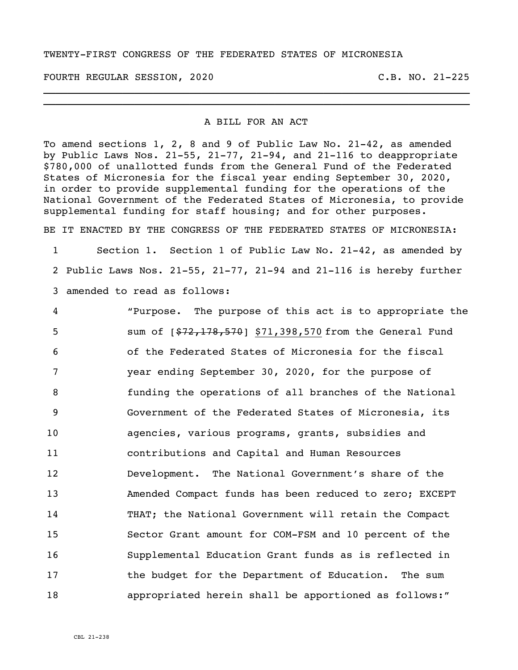## TWENTY-FIRST CONGRESS OF THE FEDERATED STATES OF MICRONESIA

FOURTH REGULAR SESSION, 2020 C.B. NO. 21-225

## A BILL FOR AN ACT

\_\_\_\_\_\_\_\_\_\_\_\_\_\_\_\_\_\_\_\_\_\_\_\_\_\_\_\_\_\_\_\_\_\_\_\_\_\_\_\_\_\_\_\_\_\_\_\_\_\_\_\_\_\_\_\_\_\_\_\_\_\_\_\_\_\_\_\_\_\_ \_\_\_\_\_\_\_\_\_\_\_\_\_\_\_\_\_\_\_\_\_\_\_\_\_\_\_\_\_\_\_\_\_\_\_\_\_\_\_\_\_\_\_\_\_\_\_\_\_\_\_\_\_\_\_\_\_\_\_\_\_\_\_\_\_\_\_\_\_\_

To amend sections 1, 2, 8 and 9 of Public Law No. 21-42, as amended by Public Laws Nos.  $21-55$ ,  $21-77$ ,  $21-94$ , and  $21-116$  to deappropriate \$780,000 of unallotted funds from the General Fund of the Federated States of Micronesia for the fiscal year ending September 30, 2020, in order to provide supplemental funding for the operations of the National Government of the Federated States of Micronesia, to provide supplemental funding for staff housing; and for other purposes.

BE IT ENACTED BY THE CONGRESS OF THE FEDERATED STATES OF MICRONESIA:

1 Section 1. Section 1 of Public Law No. 21-42, as amended by 2 Public Laws Nos. 21-55, 21-77, 21-94 and 21-116 is hereby further 3 amended to read as follows:

 "Purpose. The purpose of this act is to appropriate the 5 sum of  $\left[\frac{272,178,570}{277,178,570}\right]$  \$71,398,570 from the General Fund of the Federated States of Micronesia for the fiscal year ending September 30, 2020, for the purpose of funding the operations of all branches of the National Government of the Federated States of Micronesia, its agencies, various programs, grants, subsidies and contributions and Capital and Human Resources Development. The National Government's share of the Amended Compact funds has been reduced to zero; EXCEPT THAT; the National Government will retain the Compact Sector Grant amount for COM-FSM and 10 percent of the Supplemental Education Grant funds as is reflected in 17 the budget for the Department of Education. The sum appropriated herein shall be apportioned as follows:"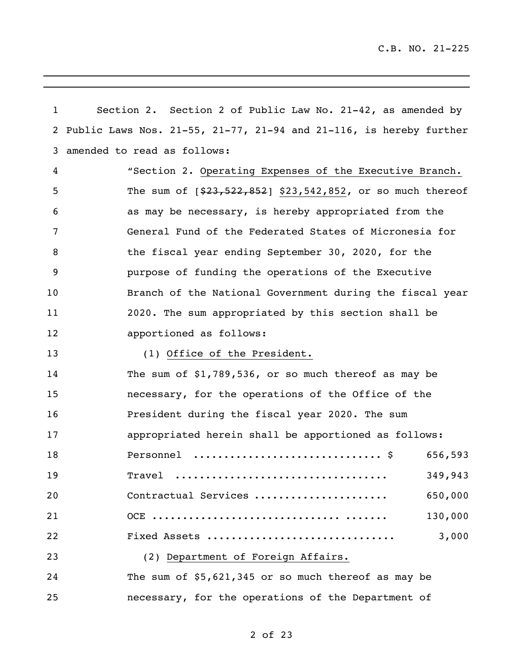| $\mathbf{1}$ | Section 2. Section 2 of Public Law No. 21-42, as amended by          |
|--------------|----------------------------------------------------------------------|
|              | 2 Public Laws Nos. 21-55, 21-77, 21-94 and 21-116, is hereby further |
| 3            | amended to read as follows:                                          |
| 4            | "Section 2. Operating Expenses of the Executive Branch.              |
| 5            | The sum of $[$23,522,852]$ \$23,542,852, or so much thereof          |
| 6            | as may be necessary, is hereby appropriated from the                 |
| 7            | General Fund of the Federated States of Micronesia for               |
| 8            | the fiscal year ending September 30, 2020, for the                   |
| 9            | purpose of funding the operations of the Executive                   |
| 10           | Branch of the National Government during the fiscal year             |
| 11           | 2020. The sum appropriated by this section shall be                  |
| 12           | apportioned as follows:                                              |
| 13           | (1) Office of the President.                                         |
| 14           | The sum of $$1,789,536$ , or so much thereof as may be               |
| 15           | necessary, for the operations of the Office of the                   |
| 16           | President during the fiscal year 2020. The sum                       |
| 17           | appropriated herein shall be apportioned as follows:                 |
| 18           | 656,593                                                              |
| 19           | 349,943<br>Travel                                                    |
| 20           | Contractual Services<br>650,000                                      |
| 21           | 130,000                                                              |
| 22           | 3,000<br>Fixed Assets                                                |
| 23           | (2) Department of Foreign Affairs.                                   |
| 24           | The sum of \$5,621,345 or so much thereof as may be                  |
| 25           | necessary, for the operations of the Department of                   |

\_\_\_\_\_\_\_\_\_\_\_\_\_\_\_\_\_\_\_\_\_\_\_\_\_\_\_\_\_\_\_\_\_\_\_\_\_\_\_\_\_\_\_\_\_\_\_\_\_\_\_\_\_\_\_\_\_\_\_\_\_\_\_\_\_\_\_\_\_\_

 $\mathcal{L}_\text{max}$  , and the contract of the contract of the contract of the contract of the contract of the contract of the contract of the contract of the contract of the contract of the contract of the contract of the contr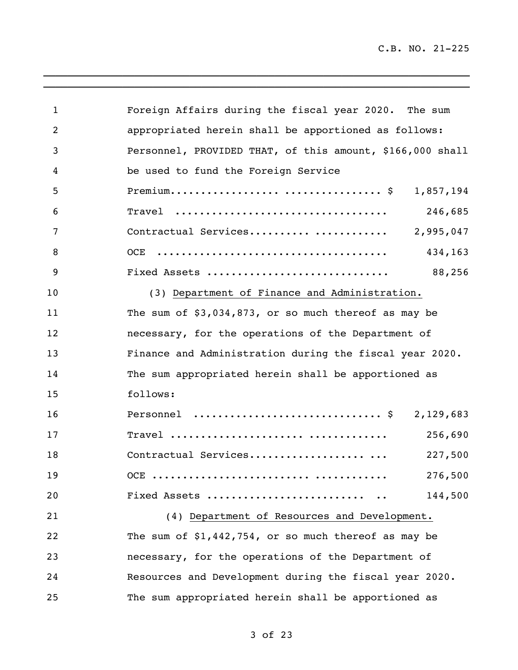\_\_\_\_\_\_\_\_\_\_\_\_\_\_\_\_\_\_\_\_\_\_\_\_\_\_\_\_\_\_\_\_\_\_\_\_\_\_\_\_\_\_\_\_\_\_\_\_\_\_\_\_\_\_\_\_\_\_\_\_\_\_\_\_\_\_\_\_\_\_

| $\mathbf 1$    | Foreign Affairs during the fiscal year 2020. The sum      |           |
|----------------|-----------------------------------------------------------|-----------|
| $\overline{2}$ | appropriated herein shall be apportioned as follows:      |           |
| 3              | Personnel, PROVIDED THAT, of this amount, \$166,000 shall |           |
| 4              | be used to fund the Foreign Service                       |           |
| 5              |                                                           | 1,857,194 |
| 6              | Travel                                                    | 246,685   |
| 7              | Contractual Services                                      | 2,995,047 |
| 8              | OCE                                                       | 434,163   |
| 9              | Fixed Assets                                              | 88,256    |
| 10             | (3) Department of Finance and Administration.             |           |
| 11             | The sum of $$3,034,873$ , or so much thereof as may be    |           |
| 12             | necessary, for the operations of the Department of        |           |
| 13             | Finance and Administration during the fiscal year 2020.   |           |
| 14             | The sum appropriated herein shall be apportioned as       |           |
| 15             | follows:                                                  |           |
| 16             | Personnel  \$ 2,129,683                                   |           |
| 17             |                                                           | 256,690   |
| 18             | Contractual Services                                      | 227,500   |
| 19             |                                                           | 276,500   |
| 20             | Fixed Assets                                              | 144,500   |
| 21             | (4) Department of Resources and Development.              |           |
| 22             | The sum of $$1,442,754$ , or so much thereof as may be    |           |
| 23             | necessary, for the operations of the Department of        |           |
| 24             | Resources and Development during the fiscal year 2020.    |           |
| 25             | The sum appropriated herein shall be apportioned as       |           |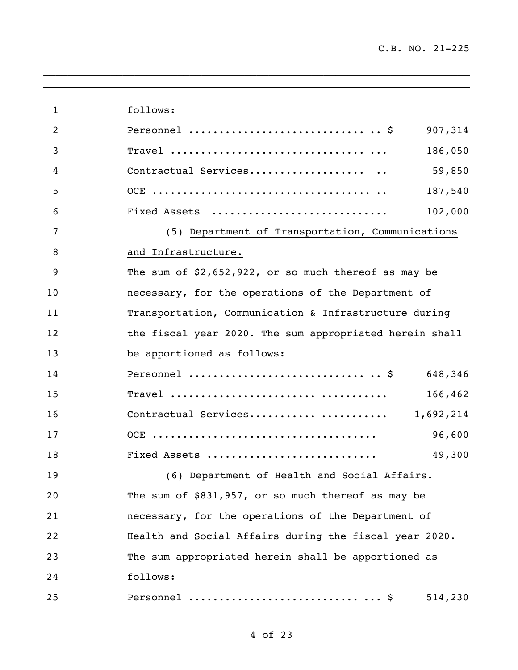\_\_\_\_\_\_\_\_\_\_\_\_\_\_\_\_\_\_\_\_\_\_\_\_\_\_\_\_\_\_\_\_\_\_\_\_\_\_\_\_\_\_\_\_\_\_\_\_\_\_\_\_\_\_\_\_\_\_\_\_\_\_\_\_\_\_\_\_\_\_

| $\mathbf{1}$   | follows:                                                |
|----------------|---------------------------------------------------------|
| $\overline{2}$ | Personnel $\frac{1}{2}$<br>907,314                      |
| 3              | 186,050                                                 |
| 4              | 59,850<br>Contractual Services                          |
| 5              | 187,540                                                 |
| 6              | 102,000<br>Fixed Assets                                 |
| 7              | (5) Department of Transportation, Communications        |
| 8              | and Infrastructure.                                     |
| 9              | The sum of $$2,652,922$ , or so much thereof as may be  |
| 10             | necessary, for the operations of the Department of      |
| 11             | Transportation, Communication & Infrastructure during   |
| 12             | the fiscal year 2020. The sum appropriated herein shall |
| 13             | be apportioned as follows:                              |
| 14             | Personnel $\frac{1}{2}$<br>648,346                      |
| 15             | 166,462                                                 |
| 16             |                                                         |
| 17             | 96,600                                                  |
| 18             | Fixed Assets<br>49,300                                  |
| 19             | (6) Department of Health and Social Affairs.            |
| 20             | The sum of $$831,957$ , or so much thereof as may be    |
| 21             | necessary, for the operations of the Department of      |
| 22             | Health and Social Affairs during the fiscal year 2020.  |
| 23             | The sum appropriated herein shall be apportioned as     |
| 24             | follows:                                                |
| 25             | 514,230                                                 |

 $\overline{\phantom{a}}$  , and the contribution of the contribution of the contribution of the contribution of the contribution of the contribution of the contribution of the contribution of the contribution of the contribution of the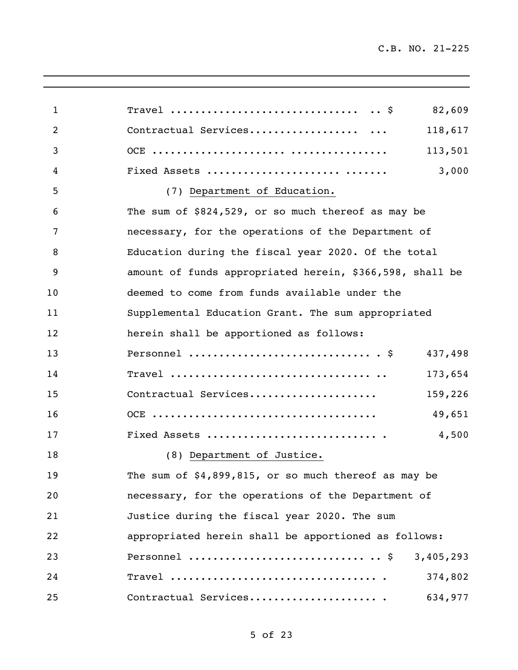\_\_\_\_\_\_\_\_\_\_\_\_\_\_\_\_\_\_\_\_\_\_\_\_\_\_\_\_\_\_\_\_\_\_\_\_\_\_\_\_\_\_\_\_\_\_\_\_\_\_\_\_\_\_\_\_\_\_\_\_\_\_\_\_\_\_\_\_\_\_

| $\mathbf{1}$   | Travel $\frac{1}{5}$<br>82,609                                                              |
|----------------|---------------------------------------------------------------------------------------------|
| $\overline{2}$ | Contractual Services<br>118,617                                                             |
| 3              | 113,501                                                                                     |
| 4              | Fixed Assets<br>3,000                                                                       |
| 5              | (7) Department of Education.                                                                |
| 6              | The sum of \$824,529, or so much thereof as may be                                          |
| 7              | necessary, for the operations of the Department of                                          |
| 8              | Education during the fiscal year 2020. Of the total                                         |
| 9              | amount of funds appropriated herein, \$366,598, shall be                                    |
| 10             | deemed to come from funds available under the                                               |
| 11             | Supplemental Education Grant. The sum appropriated                                          |
| 12             | herein shall be apportioned as follows:                                                     |
| 13             | Personnel $\hat{S}$<br>437,498                                                              |
| 14             | 173,654                                                                                     |
| 15             | Contractual Services<br>159,226                                                             |
| 16             | 49,651                                                                                      |
| 17             | Fixed Assets<br>4,500                                                                       |
| 18             | (8) Department of Justice.                                                                  |
| 19             | The sum of $$4,899,815$ , or so much thereof as may be                                      |
| 20             | necessary, for the operations of the Department of                                          |
| 21             | Justice during the fiscal year 2020. The sum                                                |
| 22             | appropriated herein shall be apportioned as follows:                                        |
| 23             | Personnel $\frac{1}{5}$<br>3,405,293                                                        |
| 24             | $Travel \dots \dots \dots \dots \dots \dots \dots \dots \dots \dots \dots \dots$<br>374,802 |
| 25             | Contractual Services<br>634,977                                                             |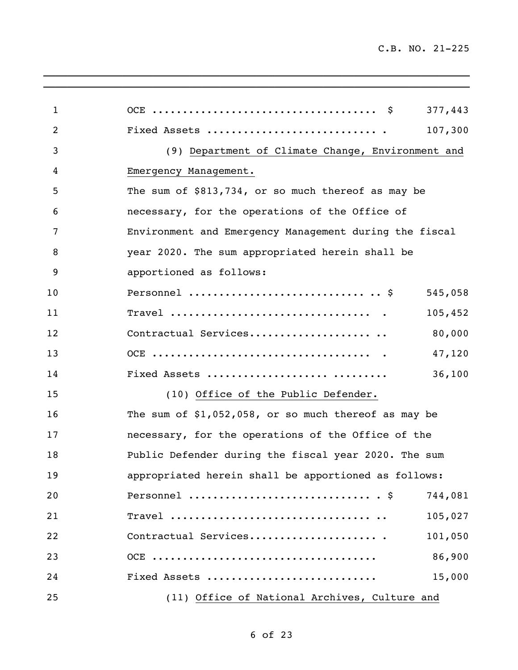\_\_\_\_\_\_\_\_\_\_\_\_\_\_\_\_\_\_\_\_\_\_\_\_\_\_\_\_\_\_\_\_\_\_\_\_\_\_\_\_\_\_\_\_\_\_\_\_\_\_\_\_\_\_\_\_\_\_\_\_\_\_\_\_\_\_\_\_\_\_

| 1  | 377,443                                                |
|----|--------------------------------------------------------|
| 2  | 107,300                                                |
| 3  | (9) Department of Climate Change, Environment and      |
| 4  | Emergency Management.                                  |
| 5  | The sum of \$813,734, or so much thereof as may be     |
| 6  | necessary, for the operations of the Office of         |
| 7  | Environment and Emergency Management during the fiscal |
| 8  | year 2020. The sum appropriated herein shall be        |
| 9  | apportioned as follows:                                |
| 10 | Personnel $\frac{1}{5}$<br>545,058                     |
| 11 | 105,452                                                |
| 12 | 80,000<br>Contractual Services                         |
| 13 | 47,120                                                 |
| 14 | 36,100<br>Fixed Assets                                 |
| 15 | (10) Office of the Public Defender.                    |
| 16 | The sum of $$1,052,058$ , or so much thereof as may be |
| 17 | necessary, for the operations of the Office of the     |
| 18 | Public Defender during the fiscal year 2020. The sum   |
| 19 | appropriated herein shall be apportioned as follows:   |
| 20 | Personnel $\S$<br>744,081                              |
| 21 | 105,027                                                |
| 22 | 101,050                                                |
| 23 | 86,900                                                 |
| 24 | 15,000<br>Fixed Assets                                 |
| 25 | (11) Office of National Archives, Culture and          |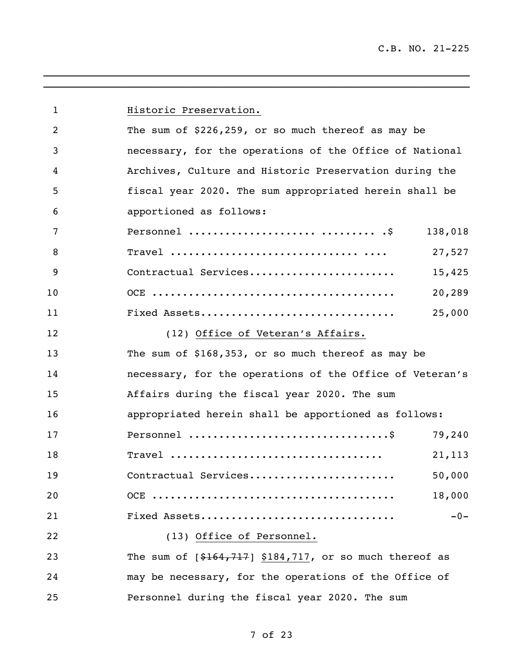| $\mathbf{1}$   | Historic Preservation.                                   |         |
|----------------|----------------------------------------------------------|---------|
| $\overline{2}$ | The sum of $$226,259$ , or so much thereof as may be     |         |
| 3              | necessary, for the operations of the Office of National  |         |
| 4              | Archives, Culture and Historic Preservation during the   |         |
| 5              | fiscal year 2020. The sum appropriated herein shall be   |         |
| 6              | apportioned as follows:                                  |         |
| 7              | Personnel   S                                            | 138,018 |
| 8              |                                                          | 27,527  |
| 9              | Contractual Services                                     | 15,425  |
| 10             |                                                          | 20,289  |
| 11             | Fixed Assets                                             | 25,000  |
| 12             | (12) Office of Veteran's Affairs.                        |         |
| 13             | The sum of \$168,353, or so much thereof as may be       |         |
| 14             | necessary, for the operations of the Office of Veteran's |         |
| 15             | Affairs during the fiscal year 2020. The sum             |         |
| 16             | appropriated herein shall be apportioned as follows:     |         |
| 17             |                                                          | 79,240  |
| 18             | $\texttt{Travel}$                                        | 21, 113 |
| 19             | Contractual Services                                     | 50,000  |
| 20             |                                                          | 18,000  |
| 21             | Fixed Assets                                             | $-0-$   |
| 22             | (13) Office of Personnel.                                |         |
| 23             | The sum of $[$164,717]$ \$184,717, or so much thereof as |         |
| 24             | may be necessary, for the operations of the Office of    |         |
| 25             | Personnel during the fiscal year 2020. The sum           |         |

\_\_\_\_\_\_\_\_\_\_\_\_\_\_\_\_\_\_\_\_\_\_\_\_\_\_\_\_\_\_\_\_\_\_\_\_\_\_\_\_\_\_\_\_\_\_\_\_\_\_\_\_\_\_\_\_\_\_\_\_\_\_\_\_\_\_\_\_\_\_  $\overline{\phantom{a}}$  , and the contribution of the contribution of the contribution of the contribution of the contribution of the contribution of the contribution of the contribution of the contribution of the contribution of the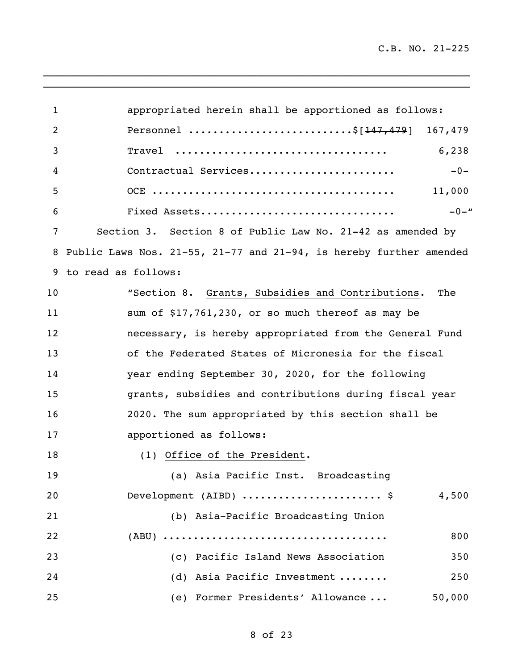\_\_\_\_\_\_\_\_\_\_\_\_\_\_\_\_\_\_\_\_\_\_\_\_\_\_\_\_\_\_\_\_\_\_\_\_\_\_\_\_\_\_\_\_\_\_\_\_\_\_\_\_\_\_\_\_\_\_\_\_\_\_\_\_\_\_\_\_\_\_

| $\mathbf 1$ | appropriated herein shall be apportioned as follows:                  |
|-------------|-----------------------------------------------------------------------|
| 2           | Personnel \$[147,479] 167,479                                         |
| 3           | 6,238<br>Travel                                                       |
| 4           | $-0-$<br>Contractual Services                                         |
| 5           | 11,000                                                                |
| 6           | $-0-$ "<br>Fixed Assets                                               |
| 7           | Section 3. Section 8 of Public Law No. 21-42 as amended by            |
| 8           | Public Laws Nos. 21-55, 21-77 and $21-94$ , is hereby further amended |
| 9           | to read as follows:                                                   |
| 10          | "Section 8. Grants, Subsidies and Contributions.<br>The               |
| 11          | sum of \$17,761,230, or so much thereof as may be                     |
| 12          | necessary, is hereby appropriated from the General Fund               |
| 13          | of the Federated States of Micronesia for the fiscal                  |
| 14          | year ending September 30, 2020, for the following                     |
| 15          | grants, subsidies and contributions during fiscal year                |
| 16          | 2020. The sum appropriated by this section shall be                   |
| 17          | apportioned as follows:                                               |
| 18          | (1) Office of the President.                                          |
| 19          | (a) Asia Pacific Inst. Broadcasting                                   |
| 20          | Development (AIBD)  \$<br>4,500                                       |
| 21          | (b) Asia-Pacific Broadcasting Union                                   |
| 22          | 800                                                                   |
| 23          | (c) Pacific Island News Association<br>350                            |
| 24          | (d) Asia Pacific Investment<br>250                                    |
| 25          | (e) Former Presidents' Allowance<br>50,000                            |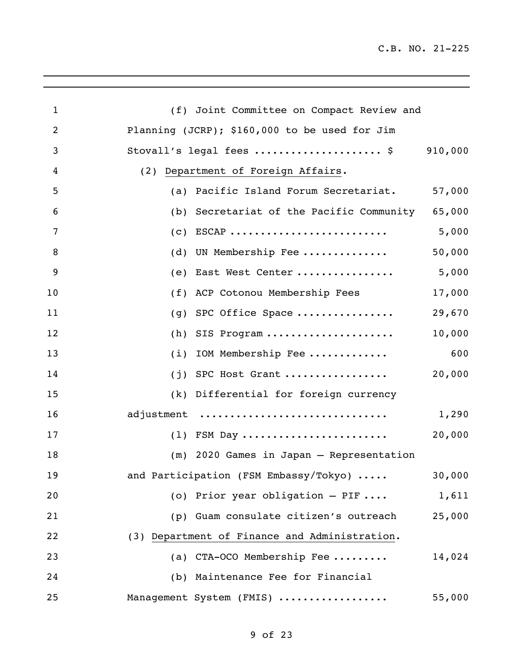\_\_\_\_\_\_\_\_\_\_\_\_\_\_\_\_\_\_\_\_\_\_\_\_\_\_\_\_\_\_\_\_\_\_\_\_\_\_\_\_\_\_\_\_\_\_\_\_\_\_\_\_\_\_\_\_\_\_\_\_\_\_\_\_\_\_\_\_\_\_

| $\mathbf 1$    | (f) Joint Committee on Compact Review and       |         |
|----------------|-------------------------------------------------|---------|
| $\overline{2}$ | Planning (JCRP); \$160,000 to be used for Jim   |         |
| 3              | Stovall's legal fees  \$                        | 910,000 |
| 4              | (2) Department of Foreign Affairs.              |         |
| 5              | Pacific Island Forum Secretariat.<br>(a)        | 57,000  |
| 6              | (b) Secretariat of the Pacific Community 65,000 |         |
| 7              | $ESCAP$<br>(c)                                  | 5,000   |
| 8              | UN Membership Fee<br>(d)                        | 50,000  |
| 9              | East West Center<br>(e)                         | 5,000   |
| 10             | ACP Cotonou Membership Fees<br>(f)              | 17,000  |
| 11             | SPC Office Space<br>(g)                         | 29,670  |
| 12             | SIS Program<br>(h)                              | 10,000  |
| 13             | IOM Membership Fee<br>(i)                       | 600     |
| 14             | SPC Host Grant<br>(i)                           | 20,000  |
| 15             | (k) Differential for foreign currency           |         |
| 16             | adjustment                                      | 1,290   |
| 17             | $(1)$ FSM Day                                   | 20,000  |
| 18             | (m) 2020 Games in Japan - Representation        |         |
| 19             | and Participation (FSM Embassy/Tokyo)           | 30,000  |
| 20             | (o) Prior year obligation $-$ PIF               | 1,611   |
| 21             | (p) Guam consulate citizen's outreach           | 25,000  |
| 22             | (3) Department of Finance and Administration.   |         |
| 23             | (a) CTA-OCO Membership Fee                      | 14,024  |
| 24             | (b) Maintenance Fee for Financial               |         |
| 25             | Management System (FMIS)                        | 55,000  |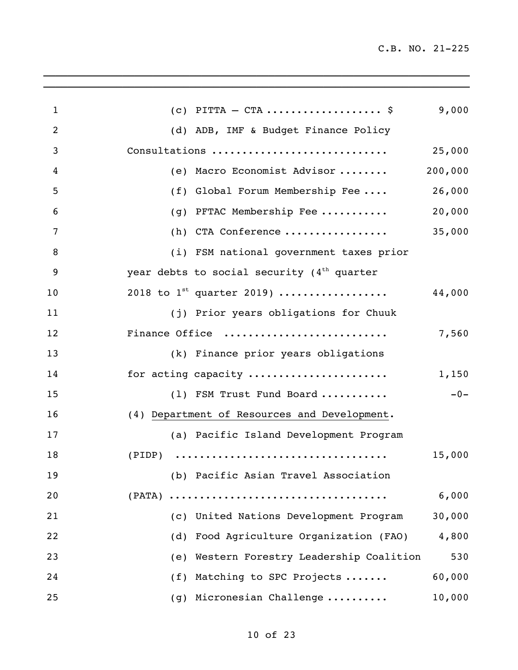| $\mathbf{1}$   | (c) PITTA $-$ CTA  \$                                                                       | 9,000   |
|----------------|---------------------------------------------------------------------------------------------|---------|
| $\overline{2}$ | (d) ADB, IMF & Budget Finance Policy                                                        |         |
| 3              | Consultations                                                                               | 25,000  |
| 4              | (e) Macro Economist Advisor                                                                 | 200,000 |
| 5              | (f) Global Forum Membership Fee                                                             | 26,000  |
| 6              | PFTAC Membership Fee<br>(q)                                                                 | 20,000  |
| 7              | (h) CTA Conference                                                                          | 35,000  |
| $\, 8$         | (i) FSM national government taxes prior                                                     |         |
| 9              | year debts to social security $(4th$ quarter                                                |         |
| 10             | 2018 to $1^{st}$ quarter 2019)                                                              | 44,000  |
| 11             | (j) Prior years obligations for Chuuk                                                       |         |
| 12             | Finance Office                                                                              | 7,560   |
| 13             | (k) Finance prior years obligations                                                         |         |
| 14             | for acting capacity                                                                         | 1,150   |
| 15             | (1) FSM Trust Fund Board                                                                    | $-0-$   |
| 16             | (4) Department of Resources and Development.                                                |         |
| 17             | (a) Pacific Island Development Program                                                      |         |
| 18             | $(PIDP) \quad \ldots \ldots \ldots \ldots \ldots \ldots \ldots \ldots \ldots \ldots \ldots$ | 15,000  |
| 19             | (b) Pacific Asian Travel Association                                                        |         |
| 20             |                                                                                             | 6,000   |
| 21             | (c) United Nations Development Program                                                      | 30,000  |
| 22             | (d) Food Agriculture Organization (FAO)                                                     | 4,800   |
| 23             | (e) Western Forestry Leadership Coalition                                                   | 530     |
| 24             | (f) Matching to SPC Projects                                                                | 60,000  |
| 25             | (g) Micronesian Challenge                                                                   | 10,000  |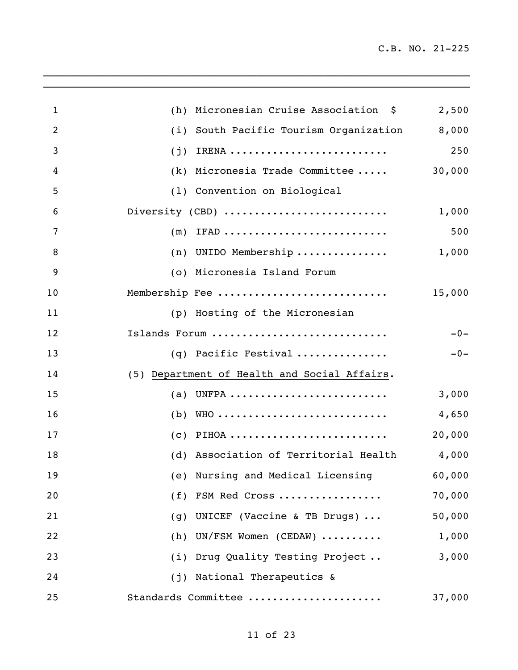$\mathcal{L}_\text{max} = \frac{1}{2} \sum_{i=1}^n \mathcal{L}_\text{max} = \frac{1}{2} \sum_{i=1}^n \mathcal{L}_\text{max} = \frac{1}{2} \sum_{i=1}^n \mathcal{L}_\text{max} = \frac{1}{2} \sum_{i=1}^n \mathcal{L}_\text{max} = \frac{1}{2} \sum_{i=1}^n \mathcal{L}_\text{max} = \frac{1}{2} \sum_{i=1}^n \mathcal{L}_\text{max} = \frac{1}{2} \sum_{i=1}^n \mathcal{L}_\text{max} = \frac{1}{2} \sum_{i=$ 

| $\mathbf{1}$   | (h) | Micronesian Cruise Association \$            | 2,500  |
|----------------|-----|----------------------------------------------|--------|
| $\overline{2}$ | (i) | South Pacific Tourism Organization           | 8,000  |
| 3              | (j) | IRENA                                        | 250    |
| 4              | (k) | Micronesia Trade Committee                   | 30,000 |
| 5              |     | (1) Convention on Biological                 |        |
| 6              |     | Diversity (CBD)                              | 1,000  |
| 7              | (m) | IFAD                                         | 500    |
| 8              | (n) | UNIDO Membership                             | 1,000  |
| 9              |     | (o) Micronesia Island Forum                  |        |
| 10             |     | Membership Fee                               | 15,000 |
| 11             |     | (p) Hosting of the Micronesian               |        |
| 12             |     | Islands Forum                                | $-0-$  |
| 13             |     | (q) Pacific Festival                         | $-0-$  |
| 14             |     | (5) Department of Health and Social Affairs. |        |
| 15             | (a) | UNFPA                                        | 3,000  |
| 16             | (b) | WHO                                          | 4,650  |
| 17             | (c) |                                              | 20,000 |
| 18             |     | (d) Association of Territorial Health        | 4,000  |
| 19             |     | (e) Nursing and Medical Licensing            | 60,000 |
| 20             |     | (f) FSM Red Cross                            | 70,000 |
| 21             |     | (g) UNICEF (Vaccine & TB Drugs)              | 50,000 |
| 22             |     | $(h)$ UN/FSM Women (CEDAW)                   | 1,000  |
| 23             |     | (i) Drug Quality Testing Project             | 3,000  |
| 24             |     | (j) National Therapeutics &                  |        |
| 25             |     | Standards Committee                          | 37,000 |
|                |     |                                              |        |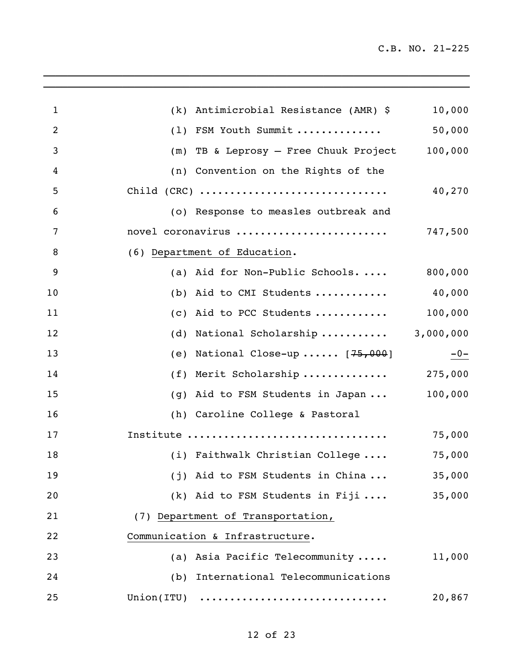$\mathcal{L}_\text{max} = \mathcal{L}_\text{max} = \mathcal{L}_\text{max} = \mathcal{L}_\text{max} = \mathcal{L}_\text{max} = \mathcal{L}_\text{max} = \mathcal{L}_\text{max} = \mathcal{L}_\text{max} = \mathcal{L}_\text{max} = \mathcal{L}_\text{max} = \mathcal{L}_\text{max} = \mathcal{L}_\text{max} = \mathcal{L}_\text{max} = \mathcal{L}_\text{max} = \mathcal{L}_\text{max} = \mathcal{L}_\text{max} = \mathcal{L}_\text{max} = \mathcal{L}_\text{max} = \mathcal{$ 

| 1  | (k) Antimicrobial Resistance (AMR) \$                                        | 10,000    |
|----|------------------------------------------------------------------------------|-----------|
| 2  | (1) FSM Youth Summit                                                         | 50,000    |
| 3  | TB & Leprosy - Free Chuuk Project<br>(m)                                     | 100,000   |
| 4  | (n) Convention on the Rights of the                                          |           |
| 5  | $Child (CRC) \ldots \ldots \ldots \ldots \ldots \ldots \ldots \ldots \ldots$ | 40,270    |
| 6  | (o) Response to measles outbreak and                                         |           |
| 7  | novel coronavirus                                                            | 747,500   |
| 8  | (6) Department of Education.                                                 |           |
| 9  | (a) Aid for Non-Public Schools                                               | 800,000   |
| 10 | (b) Aid to CMI Students $40,000$                                             |           |
| 11 | (c) Aid to PCC Students                                                      | 100,000   |
| 12 | (d) National Scholarship                                                     | 3,000,000 |
| 13 | (e) National Close-up $[75,000]$                                             | $-0-$     |
| 14 | (f) Merit Scholarship                                                        | 275,000   |
| 15 | (g) Aid to FSM Students in Japan                                             | 100,000   |
| 16 | (h) Caroline College & Pastoral                                              |           |
| 17 | Institute                                                                    | 75,000    |
| 18 | (i) Faithwalk Christian College                                              | 75,000    |
| 19 | (j) Aid to FSM Students in China                                             | 35,000    |
| 20 | $(k)$ Aid to FSM Students in Fiji                                            | 35,000    |
| 21 | (7) Department of Transportation,                                            |           |
| 22 | Communication & Infrastructure.                                              |           |
| 23 | (a) Asia Pacific Telecommunity                                               | 11,000    |
| 24 | (b) International Telecommunications                                         |           |
| 25 | Union(ITU)                                                                   | 20,867    |
|    |                                                                              |           |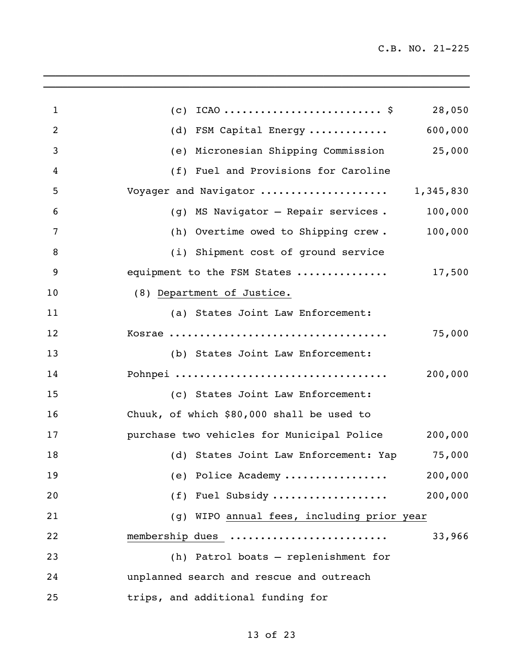| $\mathbf{1}$   | 28,050<br>(c)                                      |
|----------------|----------------------------------------------------|
| $\overline{2}$ | (d) FSM Capital Energy  600,000                    |
| 3              | (e) Micronesian Shipping Commission 25,000         |
| 4              | (f) Fuel and Provisions for Caroline               |
| 5              | Voyager and Navigator  1,345,830                   |
| 6              | (g) MS Navigator - Repair services. 100,000        |
| 7              | (h) Overtime owed to Shipping crew. 100,000        |
| 8              | (i) Shipment cost of ground service                |
| 9              | equipment to the FSM States<br>17,500              |
| 10             | (8) Department of Justice.                         |
| 11             | (a) States Joint Law Enforcement:                  |
| 12             | 75,000                                             |
| 13             | (b) States Joint Law Enforcement:                  |
| 14             | Pohnpei<br>200,000                                 |
| 15             | (c) States Joint Law Enforcement:                  |
| 16             | Chuuk, of which \$80,000 shall be used to          |
| 17             | purchase two vehicles for Municipal Police 200,000 |
| 18             | (d) States Joint Law Enforcement: Yap 75,000       |
| 19             | 200,000<br>(e) Police Academy                      |
| 20             | (f) Fuel Subsidy<br>200,000                        |
| 21             | (g) WIPO annual fees, including prior year         |
| 22             | membership dues<br>33,966                          |
| 23             | (h) Patrol boats - replenishment for               |
| 24             | unplanned search and rescue and outreach           |
| 25             | trips, and additional funding for                  |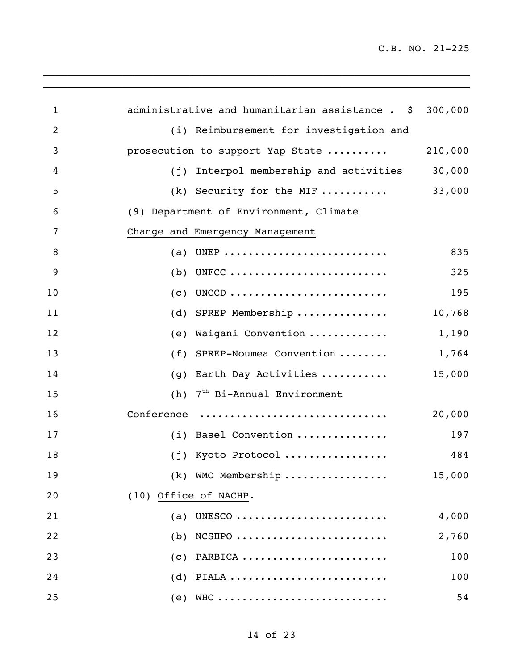$\_$  ,  $\_$  ,  $\_$  ,  $\_$  ,  $\_$  ,  $\_$  ,  $\_$  ,  $\_$  ,  $\_$  ,  $\_$  ,  $\_$  ,  $\_$  ,  $\_$  ,  $\_$  ,  $\_$ 

| $\mathbf 1$    | administrative and humanitarian assistance . \$ 300,000 |         |
|----------------|---------------------------------------------------------|---------|
| $\overline{2}$ | (i) Reimbursement for investigation and                 |         |
| 3              | prosecution to support Yap State                        | 210,000 |
| 4              | (j) Interpol membership and activities                  | 30,000  |
| 5              | $(k)$ Security for the MIF                              | 33,000  |
| 6              | (9) Department of Environment, Climate                  |         |
| 7              | Change and Emergency Management                         |         |
| 8              | UNEP<br>(a)                                             | 835     |
| 9              | UNFCC<br>(b)                                            | 325     |
| 10             | UNCCD<br>(c)                                            | 195     |
| 11             | SPREP Membership<br>(d)                                 | 10,768  |
| 12             | Waigani Convention<br>(e)                               | 1,190   |
| 13             | SPREP-Noumea Convention<br>(f)                          | 1,764   |
| 14             | Earth Day Activities<br>(g)                             | 15,000  |
| 15             | 7 <sup>th</sup> Bi-Annual Environment<br>(h)            |         |
| 16             | Conference                                              | 20,000  |
| 17             | (i) Basel Convention                                    | 197     |
| 18             | (j) Kyoto Protocol                                      | 484     |
| 19             | (k) WMO Membership                                      | 15,000  |
| 20             | (10) Office of NACHP.                                   |         |
| 21             | (a) UNESCO                                              | 4,000   |
| 22             | $(b)$ NCSHPO                                            | 2,760   |
| 23             | $(c)$ PARBICA                                           | 100     |
| 24             | $(d)$ PIALA                                             | 100     |
| 25             | (e) WHC                                                 | 54      |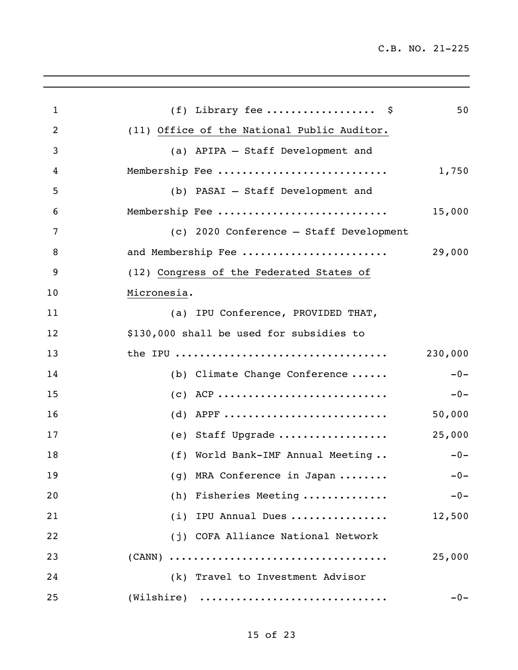| $\mathbf{1}$   | (f) Library fee $\frac{1}{2}$               | 50      |
|----------------|---------------------------------------------|---------|
| $\overline{2}$ | (11) Office of the National Public Auditor. |         |
| 3              | (a) APIPA - Staff Development and           |         |
| 4              | Membership Fee                              | 1,750   |
| 5              | (b) PASAI - Staff Development and           |         |
| 6              | Membership Fee                              | 15,000  |
| 7              | (c) 2020 Conference - Staff Development     |         |
| 8              | and Membership Fee                          | 29,000  |
| 9              | (12) Congress of the Federated States of    |         |
| 10             | Micronesia.                                 |         |
| 11             | (a) IPU Conference, PROVIDED THAT,          |         |
| 12             | \$130,000 shall be used for subsidies to    |         |
| 13             |                                             | 230,000 |
| 14             | (b) Climate Change Conference               | $-0-$   |
| 15             | $(c)$ ACP                                   | $-0-$   |
| 16             | (d) APPF                                    | 50,000  |
| 17             | (e) Staff Upgrade                           | 25,000  |
| 18             | (f) World Bank-IMF Annual Meeting           | $-0-$   |
| 19             | (g) MRA Conference in Japan                 | $-0-$   |
| 20             | (h) Fisheries Meeting                       | $-0-$   |
| 21             | (i) IPU Annual Dues                         | 12,500  |
| 22             | (j) COFA Alliance National Network          |         |
| 23             |                                             | 25,000  |
| 24             | (k) Travel to Investment Advisor            |         |
| 25             | $(Wilshire)$                                | $-0-$   |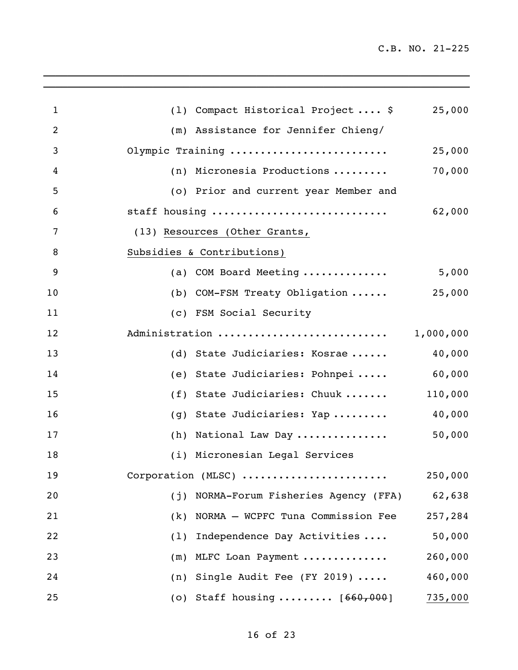| $\mathbf 1$    | (1) Compact Historical Project \$        | 25,000    |
|----------------|------------------------------------------|-----------|
| $\overline{2}$ | (m) Assistance for Jennifer Chieng/      |           |
| 3              | Olympic Training                         | 25,000    |
| 4              | (n) Micronesia Productions               | 70,000    |
| 5              | (o) Prior and current year Member and    |           |
| 6              | staff housing                            | 62,000    |
| 7              | (13) Resources (Other Grants,            |           |
| 8              | Subsidies & Contributions)               |           |
| 9              | (a) COM Board Meeting                    | 5,000     |
| 10             | (b) COM-FSM Treaty Obligation            | 25,000    |
| 11             | (c) FSM Social Security                  |           |
| 12             | Administration                           | 1,000,000 |
| 13             | (d) State Judiciaries: Kosrae            | 40,000    |
| 14             | (e) State Judiciaries: Pohnpei           | 60,000    |
| 15             | (f) State Judiciaries: Chuuk             | 110,000   |
| 16             | (g) State Judiciaries: Yap               | 40,000    |
| 17             | (h) National Law Day                     | 50,000    |
| 18             | (i) Micronesian Legal Services           |           |
| 19             | Corporation (MLSC)                       | 250,000   |
| 20             | (j) NORMA-Forum Fisheries Agency (FFA)   | 62,638    |
| 21             | NORMA - WCPFC Tuna Commission Fee<br>(k) | 257,284   |
| 22             | Independence Day Activities<br>(1)       | 50,000    |
| 23             | (m) MLFC Loan Payment                    | 260,000   |
| 24             | Single Audit Fee (FY 2019)<br>(n)        | 460,000   |
| 25             | (o) Staff housing $[660, 000]$           | 735,000   |
|                |                                          |           |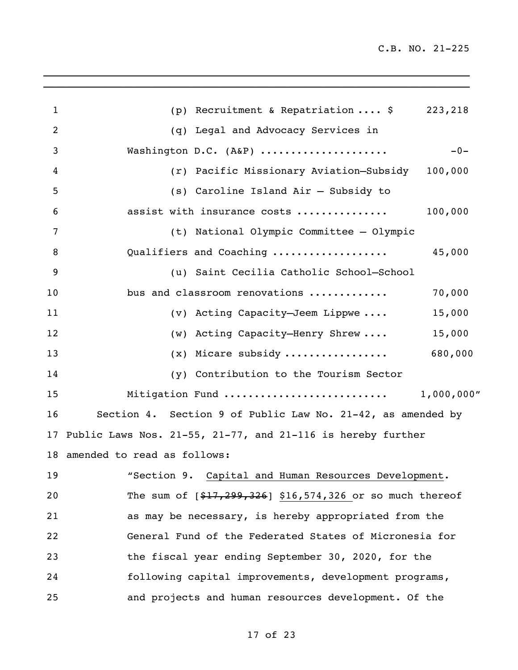| $\mathbf{1}$ | (p) Recruitment & Repatriation $\frac{1}{2}$ 223,218           |  |
|--------------|----------------------------------------------------------------|--|
| 2            | (q) Legal and Advocacy Services in                             |  |
| 3            | Washington D.C. (A&P)<br>$-0-$                                 |  |
| 4            | (r) Pacific Missionary Aviation-Subsidy 100,000                |  |
| 5            | (s) Caroline Island Air - Subsidy to                           |  |
| 6            | assist with insurance costs<br>100,000                         |  |
| 7            | (t) National Olympic Committee - Olympic                       |  |
| 8            | 45,000<br>Qualifiers and Coaching                              |  |
| 9            | (u) Saint Cecilia Catholic School-School                       |  |
| 10           | bus and classroom renovations<br>70,000                        |  |
| 11           | (v) Acting Capacity-Jeem Lippwe<br>15,000                      |  |
| 12           | (w) Acting Capacity-Henry Shrew<br>15,000                      |  |
| 13           | $(x)$ Micare subsidy<br>680,000                                |  |
| 14           | (y) Contribution to the Tourism Sector                         |  |
| 15           |                                                                |  |
| 16           | Section 4. Section 9 of Public Law No. 21-42, as amended by    |  |
|              | 17 Public Laws Nos. 21-55, 21-77, and 21-116 is hereby further |  |
|              | 18 amended to read as follows:                                 |  |
|              | 19 "Section 9. Capital and Human Resources Development.        |  |
| 20           | The sum of $[$17,299,326]$ \$16,574,326 or so much thereof     |  |
| 21           | as may be necessary, is hereby appropriated from the           |  |
| 22           | General Fund of the Federated States of Micronesia for         |  |
| 23           | the fiscal year ending September 30, 2020, for the             |  |
| 24           | following capital improvements, development programs,          |  |
| 25           | and projects and human resources development. Of the           |  |
|              |                                                                |  |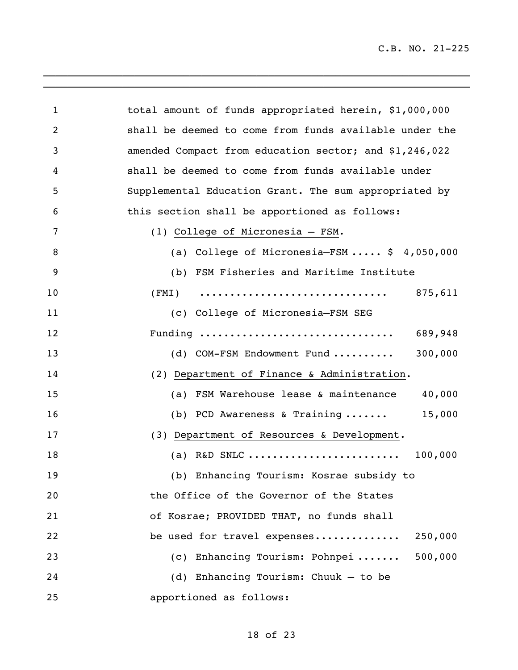| $\mathbf{1}$   | total amount of funds appropriated herein, \$1,000,000 |
|----------------|--------------------------------------------------------|
| $\overline{2}$ | shall be deemed to come from funds available under the |
| 3              | amended Compact from education sector; and \$1,246,022 |
| 4              | shall be deemed to come from funds available under     |
| 5              | Supplemental Education Grant. The sum appropriated by  |
| 6              | this section shall be apportioned as follows:          |
| 7              | (1) College of Micronesia - FSM.                       |
| 8              | (a) College of Micronesia-FSM $$4,050,000$             |
| 9              | (b) FSM Fisheries and Maritime Institute               |
| 10             | 875,611                                                |
| 11             | (c) College of Micronesia-FSM SEG                      |
| 12             | Funding<br>689,948                                     |
| 13             | 300,000<br>(d) COM-FSM Endowment Fund                  |
| 14             | (2) Department of Finance & Administration.            |
| 15             | (a) FSM Warehouse lease & maintenance<br>40,000        |
| 16             | 15,000<br>(b) PCD Awareness & Training $\dots\dots$    |
| 17             | (3) Department of Resources & Development.             |
| 18             | (a) R&D SNLC<br>100,000                                |
| 19             | (b) Enhancing Tourism: Kosrae subsidy to               |
| 20             | the Office of the Governor of the States               |
| 21             | of Kosrae; PROVIDED THAT, no funds shall               |
| 22             | 250,000<br>be used for travel expenses                 |
| 23             | (c) Enhancing Tourism: Pohnpei  500,000                |
| 24             | (d) Enhancing Tourism: Chuuk - to be                   |
| 25             | apportioned as follows:                                |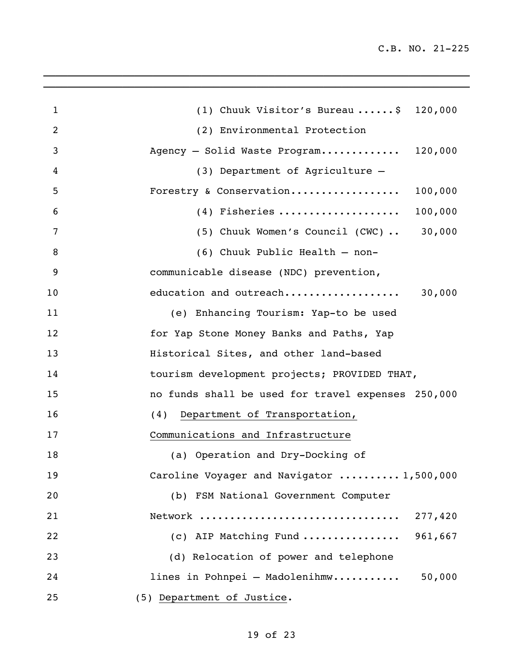| $\mathbf{1}$ | (1) Chuuk Visitor's Bureau  \$ 120,000             |
|--------------|----------------------------------------------------|
| 2            | (2) Environmental Protection                       |
| 3            | Agency - Solid Waste Program<br>120,000            |
| 4            | (3) Department of Agriculture -                    |
| 5            | Forestry & Conservation<br>100,000                 |
| 6            | $(4)$ Fisheries<br>100,000                         |
| 7            | (5) Chuuk Women's Council (CWC)  30,000            |
| 8            | (6) Chuuk Public Health - non-                     |
| 9            | communicable disease (NDC) prevention,             |
| 10           | 30,000<br>education and outreach                   |
| 11           | (e) Enhancing Tourism: Yap-to be used              |
| 12           | for Yap Stone Money Banks and Paths, Yap           |
| 13           | Historical Sites, and other land-based             |
| 14           | tourism development projects; PROVIDED THAT,       |
| 15           | no funds shall be used for travel expenses 250,000 |
| 16           | (4) Department of Transportation,                  |
| 17           | Communications and Infrastructure                  |
| 18           | (a) Operation and Dry-Docking of                   |
| 19           | Caroline Voyager and Navigator  1,500,000          |
| 20           | (b) FSM National Government Computer               |
| 21           |                                                    |
| 22           | (c) AIP Matching Fund<br>961,667                   |
| 23           | (d) Relocation of power and telephone              |
| 24           | lines in Pohnpei - Madolenihmw<br>50,000           |
| 25           | (5) Department of Justice.                         |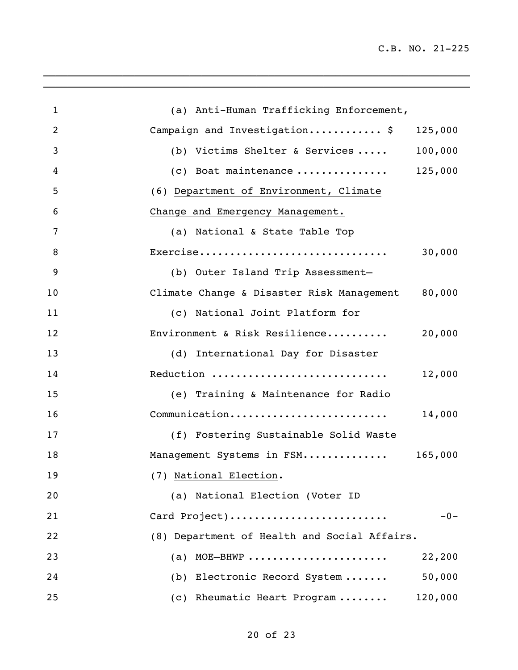| $\mathbf{1}$   | (a) Anti-Human Trafficking Enforcement,                                                   |
|----------------|-------------------------------------------------------------------------------------------|
| $\overline{2}$ | Campaign and Investigation \$<br>125,000                                                  |
| 3              | 100,000<br>(b) Victims Shelter & Services                                                 |
| 4              | (c) Boat maintenance $125,000$                                                            |
| 5              | (6) Department of Environment, Climate                                                    |
| 6              | Change and Emergency Management.                                                          |
| 7              | (a) National & State Table Top                                                            |
| 8              | 30,000<br>$\texttt{Exercise} \dots \dots \dots \dots \dots \dots \dots \dots \dots \dots$ |
| 9              | (b) Outer Island Trip Assessment-                                                         |
| 10             | 80,000<br>Climate Change & Disaster Risk Management                                       |
| 11             | (c) National Joint Platform for                                                           |
| 12             | 20,000<br>Environment & Risk Resilience                                                   |
| 13             | (d) International Day for Disaster                                                        |
| 14             | Reduction<br>12,000                                                                       |
| 15             | (e) Training & Maintenance for Radio                                                      |
| 16             | Communication<br>14,000                                                                   |
| 17             | (f) Fostering Sustainable Solid Waste                                                     |
| 18             | Management Systems in FSM 165,000                                                         |
| 19             | (7) National Election.                                                                    |
| 20             | (a) National Election (Voter ID                                                           |
| 21             | $-0-$<br>Card Project)                                                                    |
| 22             | (8) Department of Health and Social Affairs.                                              |
| 23             | MOE-BHWP<br>22,200<br>(a)                                                                 |
| 24             | 50,000<br>(b) Electronic Record System                                                    |
| 25             | 120,000<br>(c) Rheumatic Heart Program                                                    |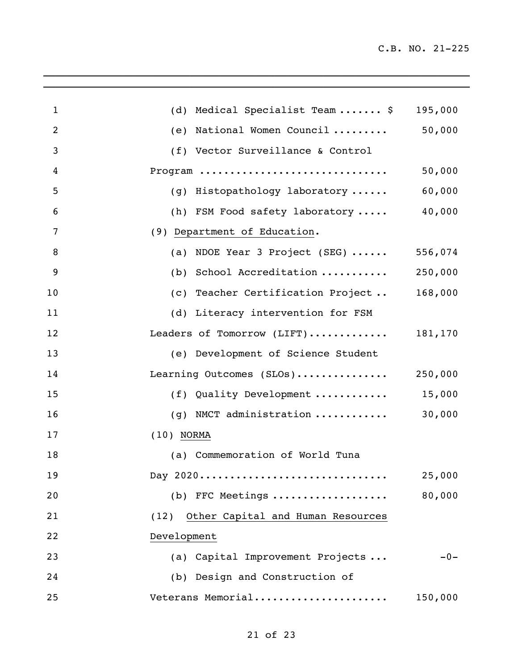$\mathcal{L}_\text{max} = \frac{1}{2} \sum_{i=1}^n \mathcal{L}_\text{max} = \frac{1}{2} \sum_{i=1}^n \mathcal{L}_\text{max} = \frac{1}{2} \sum_{i=1}^n \mathcal{L}_\text{max} = \frac{1}{2} \sum_{i=1}^n \mathcal{L}_\text{max} = \frac{1}{2} \sum_{i=1}^n \mathcal{L}_\text{max} = \frac{1}{2} \sum_{i=1}^n \mathcal{L}_\text{max} = \frac{1}{2} \sum_{i=1}^n \mathcal{L}_\text{max} = \frac{1}{2} \sum_{i=$ 

| $\mathbf{1}$   | (d) Medical Specialist Team  \$                | 195,000 |
|----------------|------------------------------------------------|---------|
| $\overline{2}$ | (e) National Women Council                     | 50,000  |
| 3              | (f) Vector Surveillance & Control              |         |
| 4              | Program                                        | 50,000  |
| 5              | (g) Histopathology laboratory                  | 60,000  |
| 6              | (h) FSM Food safety laboratory                 | 40,000  |
| 7              | (9) Department of Education.                   |         |
| 8              | (a) NDOE Year 3 Project (SEG) $\cdots$         | 556,074 |
| 9              | (b) School Accreditation                       | 250,000 |
| 10             | (c) Teacher Certification Project              | 168,000 |
| 11             | (d) Literacy intervention for FSM              |         |
| 12             | Leaders of Tomorrow (LIFT)                     | 181,170 |
| 13             | (e) Development of Science Student             |         |
| 14             | Learning Outcomes (SLOs)                       | 250,000 |
| 15             | (f) Quality Development                        | 15,000  |
| 16             | (g) NMCT administration $\ldots \ldots \ldots$ | 30,000  |
| 17             | $(10)$ NORMA                                   |         |
| 18             | (a) Commemoration of World Tuna                |         |
| 19             | Day 2020                                       | 25,000  |
| 20             | $(b)$ FFC Meetings                             | 80,000  |
| 21             | (12) Other Capital and Human Resources         |         |
| 22             | Development                                    |         |
| 23             | (a) Capital Improvement Projects               | $-0-$   |
| 24             | (b) Design and Construction of                 |         |
| 25             | Veterans Memorial                              | 150,000 |
|                |                                                |         |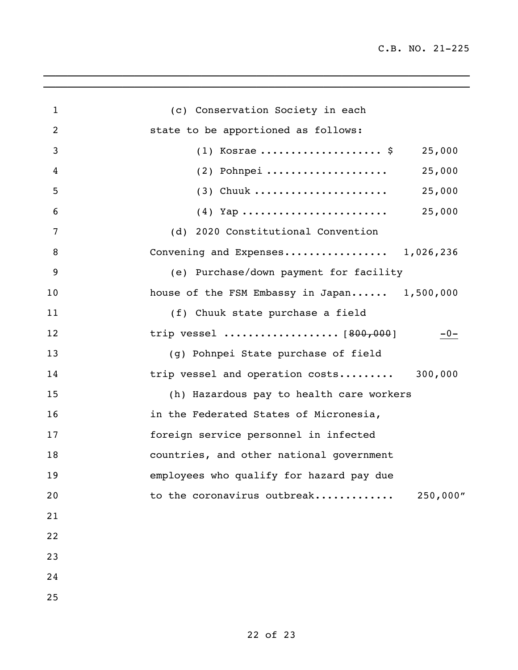| $\mathbf{1}$   | (c) Conservation Society in each            |
|----------------|---------------------------------------------|
| $\overline{2}$ | state to be apportioned as follows:         |
| 3              | $(1)$ Kosrae  \$<br>25,000                  |
| 4              | 25,000<br>$(2)$ Pohnpei                     |
| 5              | 25,000                                      |
| 6              | 25,000                                      |
| 7              | (d) 2020 Constitutional Convention          |
| 8              | Convening and Expenses 1,026,236            |
| 9              | (e) Purchase/down payment for facility      |
| 10             | house of the FSM Embassy in Japan 1,500,000 |
| 11             | (f) Chuuk state purchase a field            |
| 12             | $-0-$                                       |
| 13             | (g) Pohnpei State purchase of field         |
| 14             | trip vessel and operation costs 300,000     |
| 15             | (h) Hazardous pay to health care workers    |
| 16             | in the Federated States of Micronesia,      |
| 17             | foreign service personnel in infected       |
| 18             | countries, and other national government    |
| 19             | employees who qualify for hazard pay due    |
| 20             | to the coronavirus outbreak<br>250,000"     |
| 21             |                                             |
| 22             |                                             |
| 23             |                                             |
| 24             |                                             |
| 25             |                                             |